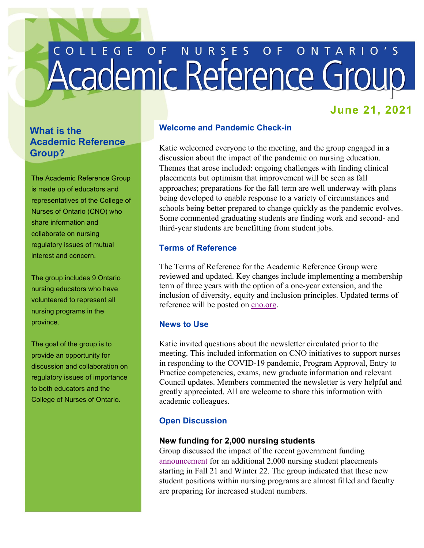# COLLEGE OF NURSES OF ONTARIO'S

# **June 21, 2021**

# **What is the Academic Reference Group?**

The Academic Reference Group is made up of educators and representatives of the College of Nurses of Ontario (CNO) who share information and collaborate on nursing regulatory issues of mutual interest and concern.

 The group includes 9 Ontario nursing educators who have volunteered to represent all nursing programs in the province.

 provide an opportunity for The goal of the group is to discussion and collaboration on regulatory issues of importance to both educators and the College of Nurses of Ontario.

# **Welcome and Pandemic Check-in**

 approaches; preparations for the fall term are well underway with plans Katie welcomed everyone to the meeting, and the group engaged in a discussion about the impact of the pandemic on nursing education. Themes that arose included: ongoing challenges with finding clinical placements but optimism that improvement will be seen as fall being developed to enable response to a variety of circumstances and schools being better prepared to change quickly as the pandemic evolves. Some commented graduating students are finding work and second- and third-year students are benefitting from student jobs.

## **Terms of Reference**

The Terms of Reference for the Academic Reference Group were reviewed and updated. Key changes include implementing a membership term of three years with the option of a one-year extension, and the inclusion of diversity, equity and inclusion principles. Updated terms of reference will be posted on [cno.org.](https://www.cno.org/en/become-a-nurse/education-resources-and-references/academic-reference-group/)

### **News to Use**

Katie invited questions about the newsletter circulated prior to the meeting. This included information on CNO initiatives to support nurses in responding to the COVID-19 pandemic, Program Approval, Entry to Practice competencies, exams, new graduate information and relevant Council updates. Members commented the newsletter is very helpful and greatly appreciated. All are welcome to share this information with academic colleagues.

# **Open Discussion**

### **New funding for 2,000 nursing students**

Group discussed the impact of the recent government funding [announcement](https://news.ontario.ca/en/release/1000132/ontario-adding-2000-nurses-to-the-health-care-system) for an additional 2,000 nursing student placements starting in Fall 21 and Winter 22. The group indicated that these new student positions within nursing programs are almost filled and faculty are preparing for increased student numbers.